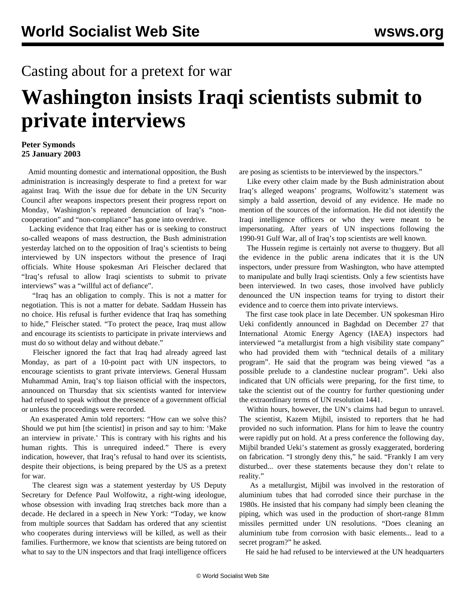## Casting about for a pretext for war

## **Washington insists Iraqi scientists submit to private interviews**

## **Peter Symonds 25 January 2003**

 Amid mounting domestic and international opposition, the Bush administration is increasingly desperate to find a pretext for war against Iraq. With the issue due for debate in the UN Security Council after weapons inspectors present their progress report on Monday, Washington's repeated denunciation of Iraq's "noncooperation" and "non-compliance" has gone into overdrive.

 Lacking evidence that Iraq either has or is seeking to construct so-called weapons of mass destruction, the Bush administration yesterday latched on to the opposition of Iraq's scientists to being interviewed by UN inspectors without the presence of Iraqi officials. White House spokesman Ari Fleischer declared that "Iraq's refusal to allow Iraqi scientists to submit to private interviews" was a "willful act of defiance".

 "Iraq has an obligation to comply. This is not a matter for negotiation. This is not a matter for debate. Saddam Hussein has no choice. His refusal is further evidence that Iraq has something to hide," Fleischer stated. "To protect the peace, Iraq must allow and encourage its scientists to participate in private interviews and must do so without delay and without debate."

 Fleischer ignored the fact that Iraq had already agreed last Monday, as part of a 10-point pact with UN inspectors, to encourage scientists to grant private interviews. General Hussam Muhammad Amin, Iraq's top liaison official with the inspectors, announced on Thursday that six scientists wanted for interview had refused to speak without the presence of a government official or unless the proceedings were recorded.

 An exasperated Amin told reporters: "How can we solve this? Should we put him [the scientist] in prison and say to him: 'Make an interview in private.' This is contrary with his rights and his human rights. This is unrequired indeed." There is every indication, however, that Iraq's refusal to hand over its scientists, despite their objections, is being prepared by the US as a pretext for war.

 The clearest sign was a statement yesterday by US Deputy Secretary for Defence Paul Wolfowitz, a right-wing ideologue, whose obsession with invading Iraq stretches back more than a decade. He declared in a speech in New York: "Today, we know from multiple sources that Saddam has ordered that any scientist who cooperates during interviews will be killed, as well as their families. Furthermore, we know that scientists are being tutored on what to say to the UN inspectors and that Iraqi intelligence officers

are posing as scientists to be interviewed by the inspectors."

 Like every other claim made by the Bush administration about Iraq's alleged weapons' programs, Wolfowitz's statement was simply a bald assertion, devoid of any evidence. He made no mention of the sources of the information. He did not identify the Iraqi intelligence officers or who they were meant to be impersonating. After years of UN inspections following the 1990-91 Gulf War, all of Iraq's top scientists are well known.

 The Hussein regime is certainly not averse to thuggery. But all the evidence in the public arena indicates that it is the UN inspectors, under pressure from Washington, who have attempted to manipulate and bully Iraqi scientists. Only a few scientists have been interviewed. In two cases, those involved have publicly denounced the UN inspection teams for trying to distort their evidence and to coerce them into private interviews.

 The first case took place in late December. UN spokesman Hiro Ueki confidently announced in Baghdad on December 27 that International Atomic Energy Agency (IAEA) inspectors had interviewed "a metallurgist from a high visibility state company" who had provided them with "technical details of a military program". He said that the program was being viewed "as a possible prelude to a clandestine nuclear program". Ueki also indicated that UN officials were preparing, for the first time, to take the scientist out of the country for further questioning under the extraordinary terms of UN resolution 1441.

 Within hours, however, the UN's claims had begun to unravel. The scientist, Kazem Mijbil, insisted to reporters that he had provided no such information. Plans for him to leave the country were rapidly put on hold. At a press conference the following day, Mijbil branded Ueki's statement as grossly exaggerated, bordering on fabrication. "I strongly deny this," he said. "Frankly I am very disturbed... over these statements because they don't relate to reality."

 As a metallurgist, Mijbil was involved in the restoration of aluminium tubes that had corroded since their purchase in the 1980s. He insisted that his company had simply been cleaning the piping, which was used in the production of short-range 81mm missiles permitted under UN resolutions. "Does cleaning an aluminium tube from corrosion with basic elements... lead to a secret program?" he asked.

He said he had refused to be interviewed at the UN headquarters